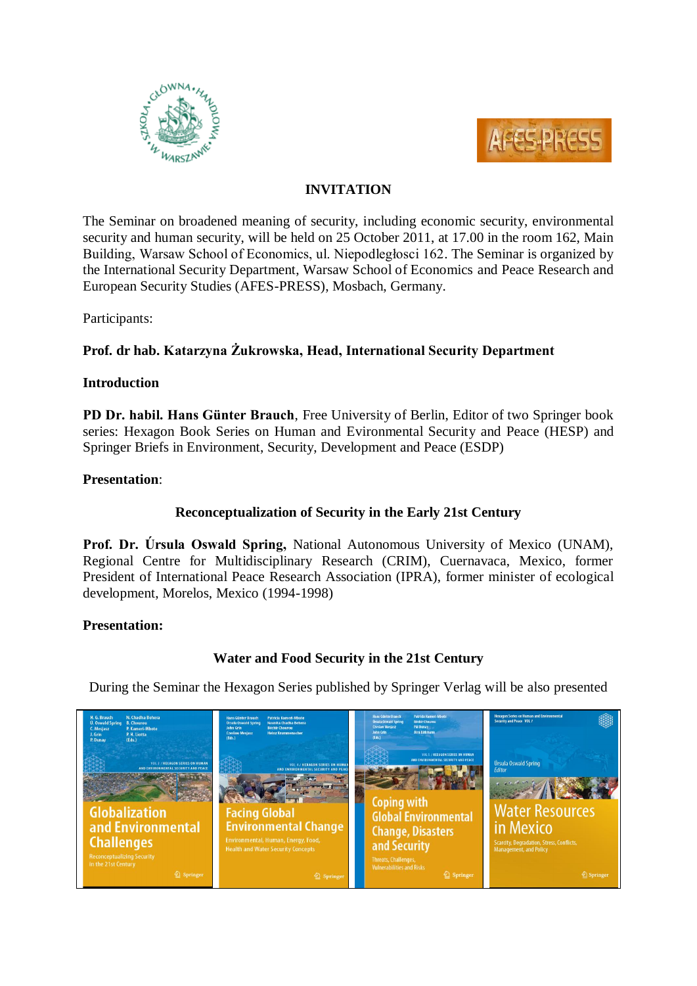



## **INVITATION**

The Seminar on broadened meaning of security, including economic security, environmental security and human security, will be held on 25 October 2011, at 17.00 in the room 162, Main Building, Warsaw School of Economics, ul. Niepodległosci 162. The Seminar is organized by the International Security Department, Warsaw School of Economics and Peace Research and European Security Studies (AFES-PRESS), Mosbach, Germany.

Participants:

# **Prof. dr hab. Katarzyna Żukrowska, Head, International Security Department**

#### **Introduction**

**PD Dr. habil. Hans Günter Brauch**, Free University of Berlin, Editor of two Springer book series: Hexagon Book Series on Human and Evironmental Security and Peace (HESP) and Springer Briefs in Environment, Security, Development and Peace (ESDP)

### **Presentation**:

### **Reconceptualization of Security in the Early 21st Century**

**Prof. Dr. Úrsula Oswald Spring,** National Autonomous University of Mexico (UNAM), Regional Centre for Multidisciplinary Research (CRIM), Cuernavaca, Mexico, former President of International Peace Research Association (IPRA), former minister of ecological development, Morelos, Mexico (1994-1998)

### **Presentation:**

# **Water and Food Security in the 21st Century**

During the Seminar the Hexagon Series published by Springer Verlag will be also presented